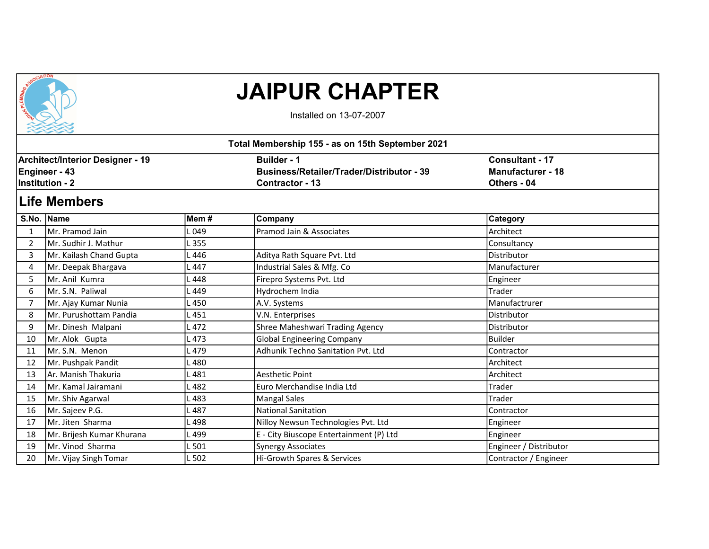

## JAIPUR CHAPTER

Installed on 13-07-2007

|    |                                         |       | Total Membership 155 - as on 15th September 2021 |                          |  |
|----|-----------------------------------------|-------|--------------------------------------------------|--------------------------|--|
|    | <b>Architect/Interior Designer - 19</b> |       | <b>Builder - 1</b>                               | <b>Consultant - 17</b>   |  |
|    | Engineer - 43                           |       | <b>Business/Retailer/Trader/Distributor - 39</b> | <b>Manufacturer - 18</b> |  |
|    | <b>Institution - 2</b>                  |       | <b>Contractor - 13</b>                           | Others - 04              |  |
|    | <b>Life Members</b>                     |       |                                                  |                          |  |
|    | S.No. Name                              | Mem#  | Company                                          | <b>Category</b>          |  |
| 1  | IMr. Pramod Jain                        | 049   | Pramod Jain & Associates                         | Architect                |  |
| 2  | Mr. Sudhir J. Mathur                    | L 355 |                                                  | Consultancy              |  |
| 3  | Mr. Kailash Chand Gupta                 | L 446 | Aditya Rath Square Pvt. Ltd                      | Distributor              |  |
| 4  | Mr. Deepak Bhargava                     | L 447 | Industrial Sales & Mfg. Co                       | Manufacturer             |  |
| 5  | Mr. Anil Kumra                          | 448   | Firepro Systems Pvt. Ltd                         | Engineer                 |  |
| 6  | lMr. S.N. Paliwal                       | 449   | Hydrochem India                                  | Trader                   |  |
| 7  | Mr. Ajay Kumar Nunia                    | L 450 | A.V. Systems                                     | Manufactrurer            |  |
| 8  | Mr. Purushottam Pandia                  | 451   | V.N. Enterprises                                 | Distributor              |  |
| 9  | Mr. Dinesh Malpani                      | .472  | Shree Maheshwari Trading Agency                  | Distributor              |  |
| 10 | Mr. Alok Gupta                          | L 473 | Global Engineering Company                       | <b>Builder</b>           |  |
| 11 | Mr. S.N. Menon                          | 479   | Adhunik Techno Sanitation Pvt. Ltd               | Contractor               |  |
| 12 | Mr. Pushpak Pandit                      | L 480 |                                                  | Architect                |  |
| 13 | Ar. Manish Thakuria                     | L 481 | <b>Aesthetic Point</b>                           | Architect                |  |
| 14 | lMr. Kamal Jairamani                    | L 482 | lEuro Merchandise India Ltd                      | Trader                   |  |
| 15 | Mr. Shiv Agarwal                        | 483   | Mangal Sales                                     | Trader                   |  |
| 16 | Mr. Sajeev P.G.                         | .487  | <b>National Sanitation</b>                       | Contractor               |  |
| 17 | Mr. Jiten Sharma                        | L498  | Nilloy Newsun Technologies Pvt. Ltd              | Engineer                 |  |
| 18 | Mr. Brijesh Kumar Khurana               | 499   | E - City Biuscope Entertainment (P) Ltd          | Engineer                 |  |
| 19 | Mr. Vinod Sharma                        | L 501 | <b>Synergy Associates</b>                        | Engineer / Distributor   |  |
| 20 | Mr. Vijay Singh Tomar                   | L 502 | Hi-Growth Spares & Services                      | Contractor / Engineer    |  |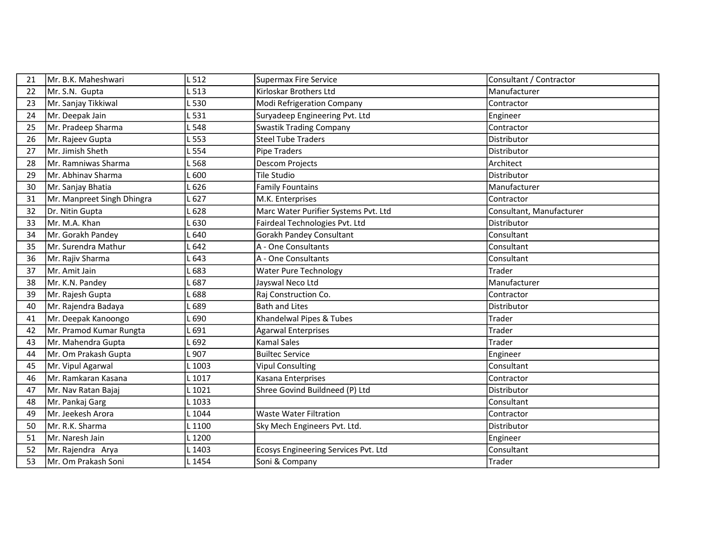| 21 | Mr. B.K. Maheshwari        | 512    | <b>Supermax Fire Service</b>         | Consultant / Contractor  |
|----|----------------------------|--------|--------------------------------------|--------------------------|
| 22 | Mr. S.N. Gupta             | . 513  | Kirloskar Brothers Ltd               | Manufacturer             |
| 23 | Mr. Sanjay Tikkiwal        | .530   | Modi Refrigeration Company           | Contractor               |
| 24 | Mr. Deepak Jain            | 531    | Suryadeep Engineering Pvt. Ltd       | Engineer                 |
| 25 | Mr. Pradeep Sharma         | .548   | <b>Swastik Trading Company</b>       | Contractor               |
| 26 | Mr. Rajeev Gupta           | L 553  | <b>Steel Tube Traders</b>            | Distributor              |
| 27 | Mr. Jimish Sheth           | 554    | <b>Pipe Traders</b>                  | Distributor              |
| 28 | Mr. Ramniwas Sharma        | .568   | <b>Descom Projects</b>               | Architect                |
| 29 | lMr. Abhinav Sharma        | - 600  | Tile Studio                          | Distributor              |
| 30 | Mr. Sanjay Bhatia          | $-626$ | <b>Family Fountains</b>              | Manufacturer             |
| 31 | Mr. Manpreet Singh Dhingra | $-627$ | M.K. Enterprises                     | Contractor               |
| 32 | Dr. Nitin Gupta            | $-628$ | Marc Water Purifier Systems Pvt. Ltd | Consultant, Manufacturer |
| 33 | Mr. M.A. Khan              | .630   | Fairdeal Technologies Pvt. Ltd       | Distributor              |
| 34 | Mr. Gorakh Pandey          | 640    | Gorakh Pandey Consultant             | Consultant               |
| 35 | Mr. Surendra Mathur        | 642    | A - One Consultants                  | Consultant               |
| 36 | Mr. Rajiv Sharma           | 643    | A - One Consultants                  | Consultant               |
| 37 | Mr. Amit Jain              | .683   | <b>Water Pure Technology</b>         | Trader                   |
| 38 | Mr. K.N. Pandey            | 687    | Jayswal Neco Ltd                     | Manufacturer             |
| 39 | Mr. Rajesh Gupta           | .688   | Raj Construction Co.                 | Contractor               |
| 40 | Mr. Rajendra Badaya        | 689    | <b>Bath and Lites</b>                | Distributor              |
| 41 | Mr. Deepak Kanoongo        | .690   | Khandelwal Pipes & Tubes             | Trader                   |
| 42 | Mr. Pramod Kumar Rungta    | 691    | <b>Agarwal Enterprises</b>           | Trader                   |
| 43 | Mr. Mahendra Gupta         | 1692   | <b>Kamal Sales</b>                   | Trader                   |
| 44 | Mr. Om Prakash Gupta       | .907   | <b>Builtec Service</b>               | Engineer                 |
| 45 | Mr. Vipul Agarwal          | L 1003 | <b>Vipul Consulting</b>              | Consultant               |
| 46 | Mr. Ramkaran Kasana        | L 1017 | Kasana Enterprises                   | Contractor               |
| 47 | Mr. Nav Ratan Bajaj        | L 1021 | Shree Govind Buildneed (P) Ltd       | Distributor              |
| 48 | Mr. Pankaj Garg            | L 1033 |                                      | Consultant               |
| 49 | Mr. Jeekesh Arora          | L 1044 | <b>Waste Water Filtration</b>        | Contractor               |
| 50 | Mr. R.K. Sharma            | L 1100 | Sky Mech Engineers Pvt. Ltd.         | Distributor              |
| 51 | Mr. Naresh Jain            | L 1200 |                                      | Engineer                 |
| 52 | Mr. Rajendra Arya          | L 1403 | Ecosys Engineering Services Pvt. Ltd | Consultant               |
| 53 | Mr. Om Prakash Soni        | L 1454 | Soni & Company                       | Trader                   |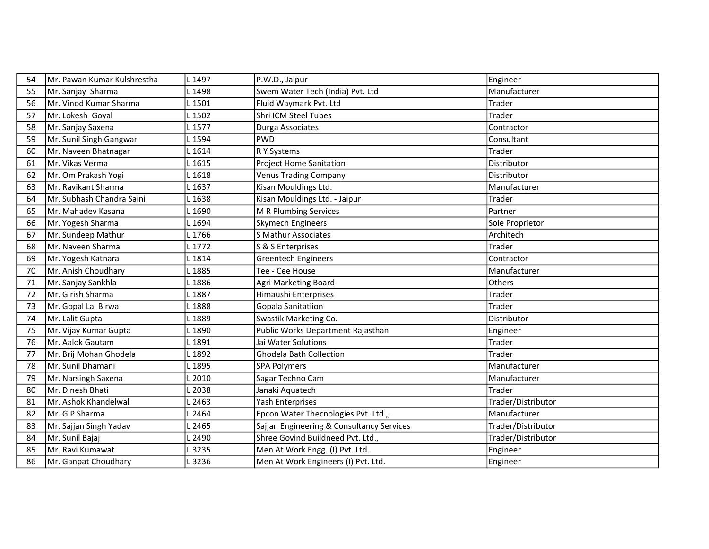| 54 | Mr. Pawan Kumar Kulshrestha | L 1497 | P.W.D., Jaipur                            | Engineer           |
|----|-----------------------------|--------|-------------------------------------------|--------------------|
| 55 | Mr. Sanjay Sharma           | L 1498 | Swem Water Tech (India) Pvt. Ltd          | Manufacturer       |
| 56 | Mr. Vinod Kumar Sharma      | L 1501 | Fluid Waymark Pvt. Ltd                    | Trader             |
| 57 | Mr. Lokesh Goyal            | L 1502 | <b>Shri ICM Steel Tubes</b>               | Trader             |
| 58 | Mr. Sanjay Saxena           | L 1577 | Durga Associates                          | Contractor         |
| 59 | Mr. Sunil Singh Gangwar     | L 1594 | <b>PWD</b>                                | Consultant         |
| 60 | Mr. Naveen Bhatnagar        | L 1614 | R Y Systems                               | Trader             |
| 61 | Mr. Vikas Verma             | L 1615 | <b>Project Home Sanitation</b>            | Distributor        |
| 62 | Mr. Om Prakash Yogi         | L 1618 | <b>Venus Trading Company</b>              | Distributor        |
| 63 | Mr. Ravikant Sharma         | L 1637 | Kisan Mouldings Ltd.                      | Manufacturer       |
| 64 | Mr. Subhash Chandra Saini   | L 1638 | Kisan Mouldings Ltd. - Jaipur             | Trader             |
| 65 | Mr. Mahadev Kasana          | L 1690 | M R Plumbing Services                     | Partner            |
| 66 | Mr. Yogesh Sharma           | L 1694 | Skymech Engineers                         | Sole Proprietor    |
| 67 | Mr. Sundeep Mathur          | L 1766 | <b>S Mathur Associates</b>                | Architech          |
| 68 | Mr. Naveen Sharma           | L 1772 | S & S Enterprises                         | Trader             |
| 69 | Mr. Yogesh Katnara          | L 1814 | <b>Greentech Engineers</b>                | Contractor         |
| 70 | Mr. Anish Choudhary         | L 1885 | Tee - Cee House                           | Manufacturer       |
| 71 | Mr. Sanjay Sankhla          | L 1886 | Agri Marketing Board                      | Others             |
| 72 | Mr. Girish Sharma           | L 1887 | Himaushi Enterprises                      | Trader             |
| 73 | Mr. Gopal Lal Birwa         | L 1888 | Gopala Sanitatiion                        | Trader             |
| 74 | Mr. Lalit Gupta             | L 1889 | Swastik Marketing Co.                     | Distributor        |
| 75 | Mr. Vijay Kumar Gupta       | L 1890 | Public Works Department Rajasthan         | Engineer           |
| 76 | Mr. Aalok Gautam            | L 1891 | Jai Water Solutions                       | Trader             |
| 77 | Mr. Brij Mohan Ghodela      | L 1892 | Ghodela Bath Collection                   | Trader             |
| 78 | Mr. Sunil Dhamani           | L 1895 | <b>SPA Polymers</b>                       | Manufacturer       |
| 79 | Mr. Narsingh Saxena         | L 2010 | Sagar Techno Cam                          | Manufacturer       |
| 80 | Mr. Dinesh Bhati            | L 2038 | Janaki Aquatech                           | Trader             |
| 81 | Mr. Ashok Khandelwal        | L 2463 | Yash Enterprises                          | Trader/Distributor |
| 82 | Mr. G P Sharma              | L 2464 | Epcon Water Thecnologies Pvt. Ltd.,,      | Manufacturer       |
| 83 | Mr. Sajjan Singh Yadav      | L 2465 | Sajjan Engineering & Consultancy Services | Trader/Distributor |
| 84 | Mr. Sunil Bajaj             | L 2490 | Shree Govind Buildneed Pvt. Ltd.,         | Trader/Distributor |
| 85 | Mr. Ravi Kumawat            | L 3235 | Men At Work Engg. (I) Pvt. Ltd.           | Engineer           |
| 86 | Mr. Ganpat Choudhary        | L 3236 | Men At Work Engineers (I) Pvt. Ltd.       | Engineer           |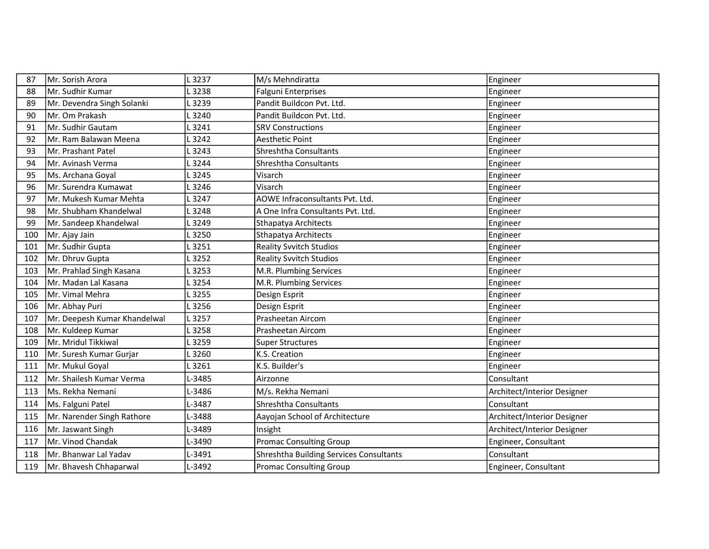| 87  | Mr. Sorish Arora             | L 3237 | M/s Mehndiratta                         | Engineer                    |
|-----|------------------------------|--------|-----------------------------------------|-----------------------------|
| 88  | Mr. Sudhir Kumar             | L 3238 | <b>Falguni Enterprises</b>              | Engineer                    |
| 89  | Mr. Devendra Singh Solanki   | L 3239 | Pandit Buildcon Pvt. Ltd.               | Engineer                    |
| 90  | Mr. Om Prakash               | L 3240 | Pandit Buildcon Pvt. Ltd.               | Engineer                    |
| 91  | Mr. Sudhir Gautam            | .3241  | <b>SRV Constructions</b>                | Engineer                    |
| 92  | Mr. Ram Balawan Meena        | L 3242 | <b>Aesthetic Point</b>                  | Engineer                    |
| 93  | Mr. Prashant Patel           | L 3243 | Shreshtha Consultants                   | Engineer                    |
| 94  | lMr. Avinash Verma           | L 3244 | Shreshtha Consultants                   | Engineer                    |
| 95  | Ms. Archana Goyal            | L 3245 | Visarch                                 | Engineer                    |
| 96  | Mr. Surendra Kumawat         | L 3246 | Visarch                                 | Engineer                    |
| 97  | Mr. Mukesh Kumar Mehta       | L 3247 | AOWE Infraconsultants Pvt. Ltd.         | Engineer                    |
| 98  | Mr. Shubham Khandelwal       | L 3248 | A One Infra Consultants Pvt. Ltd.       | Engineer                    |
| 99  | Mr. Sandeep Khandelwal       | L 3249 | Sthapatya Architects                    | Engineer                    |
| 100 | Mr. Ajay Jain                | L 3250 | Sthapatya Architects                    | Engineer                    |
| 101 | Mr. Sudhir Gupta             | L 3251 | <b>Reality Svvitch Studios</b>          | Engineer                    |
| 102 | Mr. Dhruv Gupta              | L 3252 | <b>Reality Svvitch Studios</b>          | Engineer                    |
| 103 | Mr. Prahlad Singh Kasana     | L 3253 | M.R. Plumbing Services                  | Engineer                    |
| 104 | Mr. Madan Lal Kasana         | L 3254 | M.R. Plumbing Services                  | Engineer                    |
| 105 | Mr. Vimal Mehra              | L 3255 | Design Esprit                           | Engineer                    |
| 106 | Mr. Abhay Puri               | L 3256 | Design Esprit                           | Engineer                    |
| 107 | Mr. Deepesh Kumar Khandelwal | L 3257 | Prasheetan Aircom                       | Engineer                    |
| 108 | Mr. Kuldeep Kumar            | L 3258 | Prasheetan Aircom                       | Engineer                    |
| 109 | lMr. Mridul Tikkiwal         | L3259  | <b>Super Structures</b>                 | Engineer                    |
| 110 | Mr. Suresh Kumar Gurjar      | L 3260 | K.S. Creation                           | Engineer                    |
| 111 | Mr. Mukul Goyal              | L 3261 | K.S. Builder's                          | Engineer                    |
| 112 | Mr. Shailesh Kumar Verma     | L-3485 | Airzonne                                | Consultant                  |
| 113 | Ms. Rekha Nemani             | L-3486 | M/s. Rekha Nemani                       | Architect/Interior Designer |
| 114 | Ms. Falguni Patel            | L-3487 | Shreshtha Consultants                   | Consultant                  |
| 115 | Mr. Narender Singh Rathore   | L-3488 | Aayojan School of Architecture          | Architect/Interior Designer |
| 116 | Mr. Jaswant Singh            | L-3489 | Insight                                 | Architect/Interior Designer |
| 117 | Mr. Vinod Chandak            | L-3490 | <b>Promac Consulting Group</b>          | Engineer, Consultant        |
| 118 | Mr. Bhanwar Lal Yadav        | L-3491 | Shreshtha Building Services Consultants | Consultant                  |
| 119 | Mr. Bhavesh Chhaparwal       | L-3492 | <b>Promac Consulting Group</b>          | Engineer, Consultant        |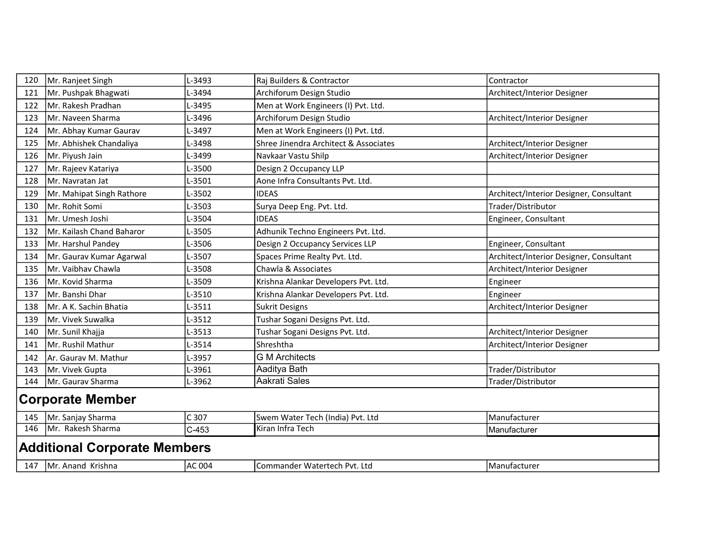| 120                     | Mr. Ranjeet Singh                   | L-3493  | Raj Builders & Contractor             | Contractor                              |  |
|-------------------------|-------------------------------------|---------|---------------------------------------|-----------------------------------------|--|
| 121                     | Mr. Pushpak Bhagwati                | L-3494  | Archiforum Design Studio              | Architect/Interior Designer             |  |
| 122                     | Mr. Rakesh Pradhan                  | L-3495  | Men at Work Engineers (I) Pvt. Ltd.   |                                         |  |
| 123                     | lMr. Naveen Sharma                  | L-3496  | Archiforum Design Studio              | Architect/Interior Designer             |  |
| 124                     | Mr. Abhay Kumar Gaurav              | L-3497  | Men at Work Engineers (I) Pvt. Ltd.   |                                         |  |
| 125                     | Mr. Abhishek Chandaliya             | L-3498  | Shree Jinendra Architect & Associates | Architect/Interior Designer             |  |
| 126                     | Mr. Piyush Jain                     | L-3499  | Navkaar Vastu Shilp                   | Architect/Interior Designer             |  |
| 127                     | Mr. Rajeev Katariya                 | L-3500  | Design 2 Occupancy LLP                |                                         |  |
| 128                     | Mr. Navratan Jat                    | L-3501  | Aone Infra Consultants Pvt. Ltd.      |                                         |  |
| 129                     | Mr. Mahipat Singh Rathore           | L-3502  | <b>IDEAS</b>                          | Architect/Interior Designer, Consultant |  |
| 130                     | Mr. Rohit Somi                      | L-3503  | Surya Deep Eng. Pvt. Ltd.             | Trader/Distributor                      |  |
| 131                     | Mr. Umesh Joshi                     | L-3504  | <b>IDEAS</b>                          | Engineer, Consultant                    |  |
| 132                     | Mr. Kailash Chand Baharor           | L-3505  | Adhunik Techno Engineers Pvt. Ltd.    |                                         |  |
| 133                     | Mr. Harshul Pandey                  | L-3506  | Design 2 Occupancy Services LLP       | Engineer, Consultant                    |  |
| 134                     | Mr. Gaurav Kumar Agarwal            | L-3507  | Spaces Prime Realty Pvt. Ltd.         | Architect/Interior Designer, Consultant |  |
| 135                     | Mr. Vaibhav Chawla                  | L-3508  | Chawla & Associates                   | Architect/Interior Designer             |  |
| 136                     | Mr. Kovid Sharma                    | L-3509  | Krishna Alankar Developers Pvt. Ltd.  | Engineer                                |  |
| 137                     | Mr. Banshi Dhar                     | L-3510  | Krishna Alankar Developers Pvt. Ltd.  | Engineer                                |  |
| 138                     | Mr. A K. Sachin Bhatia              | L-3511  | <b>Sukrit Designs</b>                 | Architect/Interior Designer             |  |
| 139                     | Mr. Vivek Suwalka                   | L-3512  | Tushar Sogani Designs Pvt. Ltd.       |                                         |  |
| 140                     | Mr. Sunil Khajja                    | L-3513  | Tushar Sogani Designs Pvt. Ltd.       | Architect/Interior Designer             |  |
| 141                     | Mr. Rushil Mathur                   | L-3514  | Shreshtha                             | Architect/Interior Designer             |  |
| 142                     | Ar. Gaurav M. Mathur                | L-3957  | <b>G M Architects</b>                 |                                         |  |
| 143                     | Mr. Vivek Gupta                     | L-3961  | Aaditya Bath                          | Trader/Distributor                      |  |
| 144                     | Mr. Gaurav Sharma                   | L-3962  | Aakrati Sales                         | Trader/Distributor                      |  |
| <b>Corporate Member</b> |                                     |         |                                       |                                         |  |
| 145                     | Mr. Sanjay Sharma                   | $C$ 307 | Swem Water Tech (India) Pvt. Ltd      | Manufacturer                            |  |
| 146                     | Mr. Rakesh Sharma                   | $C-453$ | Kiran Infra Tech                      | Manufacturer                            |  |
|                         | <b>Additional Corporate Members</b> |         |                                       |                                         |  |
|                         | 147   Mr. Anand Krishna             | AC 004  | Commander Watertech Pvt. Ltd          | Manufacturer                            |  |
|                         |                                     |         |                                       |                                         |  |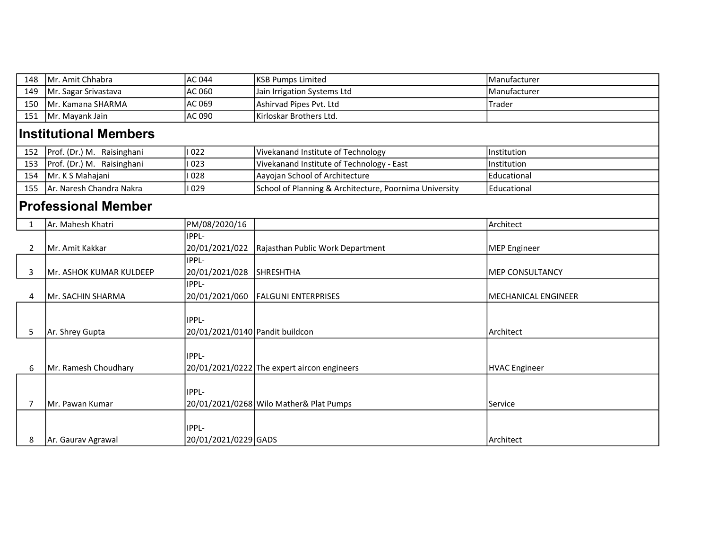| 148            | Mr. Amit Chhabra             | AC 044                                          | <b>KSB Pumps Limited</b>                               | Manufacturer               |  |  |  |
|----------------|------------------------------|-------------------------------------------------|--------------------------------------------------------|----------------------------|--|--|--|
| 149            | Mr. Sagar Srivastava         | AC 060                                          | Jain Irrigation Systems Ltd                            | Manufacturer               |  |  |  |
| 150            | Mr. Kamana SHARMA            | AC 069                                          | Ashirvad Pipes Pvt. Ltd                                | Trader                     |  |  |  |
| 151            | Mr. Mayank Jain              | AC 090                                          | Kirloskar Brothers Ltd.                                |                            |  |  |  |
|                | <b>Institutional Members</b> |                                                 |                                                        |                            |  |  |  |
| 152            | Prof. (Dr.) M. Raisinghani   | 022                                             | Vivekanand Institute of Technology                     | Institution                |  |  |  |
| 153            | Prof. (Dr.) M. Raisinghani   | 023                                             | Vivekanand Institute of Technology - East              | Institution                |  |  |  |
| 154            | Mr. K S Mahajani             | 028                                             | Aayojan School of Architecture                         | Educational                |  |  |  |
| 155            | Ar. Naresh Chandra Nakra     | 029                                             | School of Planning & Architecture, Poornima University | Educational                |  |  |  |
|                | <b>Professional Member</b>   |                                                 |                                                        |                            |  |  |  |
| $\mathbf{1}$   | Ar. Mahesh Khatri            | PM/08/2020/16                                   |                                                        | Architect                  |  |  |  |
|                |                              | IPPL-                                           |                                                        |                            |  |  |  |
| $\overline{2}$ | Mr. Amit Kakkar              | 20/01/2021/022                                  | Rajasthan Public Work Department                       | <b>MEP Engineer</b>        |  |  |  |
| 3              | Mr. ASHOK KUMAR KULDEEP      | IPPL-<br>20/01/2021/028                         | <b>SHRESHTHA</b>                                       | <b>MEP CONSULTANCY</b>     |  |  |  |
| 4              | Mr. SACHIN SHARMA            | IPPL-<br>20/01/2021/060                         | <b>FALGUNI ENTERPRISES</b>                             | <b>MECHANICAL ENGINEER</b> |  |  |  |
| 5              | Ar. Shrey Gupta              | <b>IPPL-</b><br>20/01/2021/0140 Pandit buildcon |                                                        | Architect                  |  |  |  |
| 6              | Mr. Ramesh Choudhary         | IPPL-                                           | 20/01/2021/0222 The expert aircon engineers            | <b>HVAC Engineer</b>       |  |  |  |
| 7              | Mr. Pawan Kumar              | IPPL-                                           | 20/01/2021/0268 Wilo Mather& Plat Pumps                | Service                    |  |  |  |
| 8              | Ar. Gaurav Agrawal           | IPPL-<br>20/01/2021/0229 GADS                   |                                                        | Architect                  |  |  |  |